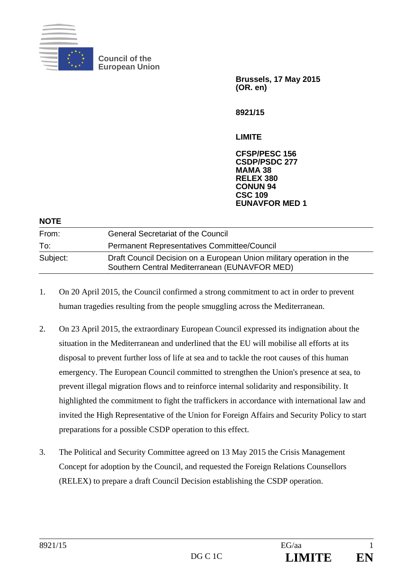

**NOTE** 

**Council of the European Union** 

> **Brussels, 17 May 2015 (OR. en)**

**8921/15** 

**LIMITE** 

**CFSP/PESC 156 CSDP/PSDC 277 MAMA 38 RELEX 380 CONUN 94 CSC 109 EUNAVFOR MED 1** 

| <b>NOTE</b> |                                                                                                                       |
|-------------|-----------------------------------------------------------------------------------------------------------------------|
| From:       | <b>General Secretariat of the Council</b>                                                                             |
| To:         | <b>Permanent Representatives Committee/Council</b>                                                                    |
| Subject:    | Draft Council Decision on a European Union military operation in the<br>Southern Central Mediterranean (EUNAVFOR MED) |

- 1. On 20 April 2015, the Council confirmed a strong commitment to act in order to prevent human tragedies resulting from the people smuggling across the Mediterranean.
- 2. On 23 April 2015, the extraordinary European Council expressed its indignation about the situation in the Mediterranean and underlined that the EU will mobilise all efforts at its disposal to prevent further loss of life at sea and to tackle the root causes of this human emergency. The European Council committed to strengthen the Union's presence at sea, to prevent illegal migration flows and to reinforce internal solidarity and responsibility. It highlighted the commitment to fight the traffickers in accordance with international law and invited the High Representative of the Union for Foreign Affairs and Security Policy to start preparations for a possible CSDP operation to this effect.
- 3. The Political and Security Committee agreed on 13 May 2015 the Crisis Management Concept for adoption by the Council, and requested the Foreign Relations Counsellors (RELEX) to prepare a draft Council Decision establishing the CSDP operation.